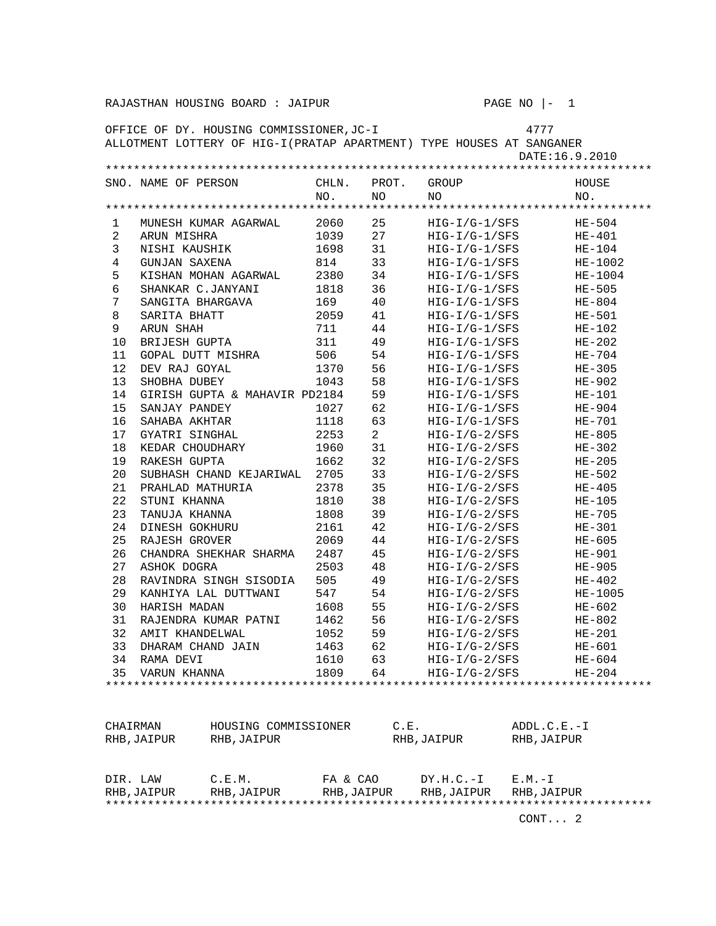|                | 4777<br>OFFICE OF DY. HOUSING COMMISSIONER, JC-I<br>ALLOTMENT LOTTERY OF HIG-I (PRATAP APARTMENT) TYPE HOUSES AT SANGANER |                               |             |                |                                    |             |                    |  |  |
|----------------|---------------------------------------------------------------------------------------------------------------------------|-------------------------------|-------------|----------------|------------------------------------|-------------|--------------------|--|--|
| DATE:16.9.2010 |                                                                                                                           |                               |             |                |                                    |             |                    |  |  |
|                |                                                                                                                           |                               |             |                |                                    |             |                    |  |  |
|                | SNO. NAME OF PERSON                                                                                                       |                               | CHLN.       | PROT.          | GROUP                              |             | HOUSE              |  |  |
|                |                                                                                                                           |                               | NO.         | NO             | NO.                                |             | NO.                |  |  |
|                |                                                                                                                           |                               |             |                |                                    |             |                    |  |  |
| 1              |                                                                                                                           | MUNESH KUMAR AGARWAL          | 2060        | 25             | $HIG-I/G-1/SFS$                    |             | $HE-504$           |  |  |
| $\overline{a}$ | ARUN MISHRA                                                                                                               |                               | 1039        | 27             | $HIG-I/G-1/SFS$                    |             | $HE-401$           |  |  |
| 3              | NISHI KAUSHIK                                                                                                             |                               | 1698        | 31             | $HIG-I/G-I/SFS$                    |             | $HE-104$           |  |  |
| $\overline{4}$ | <b>GUNJAN SAXENA</b>                                                                                                      |                               | 814         | 33             | $HIG-I/G-I/SFS$                    |             | $HE-1002$          |  |  |
| 5              |                                                                                                                           | KISHAN MOHAN AGARWAL          | 2380        | 34             | $HIG-I/G-I/SFS$                    |             | HE-1004            |  |  |
| 6<br>7         | SHANKAR C.JANYANI                                                                                                         |                               | 1818        | 36             | $HIG-I/G-I/SFS$                    |             | HE-505             |  |  |
| 8              | SANGITA BHARGAVA<br>SARITA BHATT                                                                                          |                               | 169<br>2059 | 40<br>41       | $HIG-I/G-1/SFS$<br>$HIG-I/G-I/SFS$ |             | $HE-804$           |  |  |
| 9              | ARUN SHAH                                                                                                                 |                               | 711         | 44             | $HIG-I/G-I/SFS$                    |             | HE-501<br>$HE-102$ |  |  |
| 10             | <b>BRIJESH GUPTA</b>                                                                                                      |                               | 311         | 49             | $HIG-I/G-1/SFS$                    |             | $HE-202$           |  |  |
| 11             | GOPAL DUTT MISHRA                                                                                                         |                               | 506         | 54             | $HIG-I/G-1/SFS$                    |             | $HE-704$           |  |  |
| 12             | DEV RAJ GOYAL                                                                                                             |                               | 1370        | 56             | $HIG-I/G-1/SFS$                    |             | $HE-305$           |  |  |
| 13             | SHOBHA DUBEY                                                                                                              |                               | 1043        | 58             | HIG-I/G-1/SFS                      |             | $HE-902$           |  |  |
| 14             |                                                                                                                           | GIRISH GUPTA & MAHAVIR PD2184 |             | 59             | $HIG-I/G-I/SFS$                    |             | $HE-101$           |  |  |
| 15             | SANJAY PANDEY                                                                                                             |                               | 1027        | 62             | $HIG-I/G-1/SFS$                    |             | HE-904             |  |  |
| 16             | SAHABA AKHTAR                                                                                                             |                               | 1118        | 63             | $HIG-I/G-1/SFS$                    |             | $HE-701$           |  |  |
| 17             | GYATRI SINGHAL                                                                                                            |                               | 2253        | $\overline{a}$ | $HIG-I/G-2/SFS$                    |             | $HE-805$           |  |  |
| 18             | KEDAR CHOUDHARY                                                                                                           |                               | 1960        | 31             | $HIG-I/G-2/SFS$                    |             | $HE-302$           |  |  |
| 19             | RAKESH GUPTA                                                                                                              |                               | 1662        | 32             | $HIG-I/G-2/SFS$                    |             | $HE-205$           |  |  |
| 20             |                                                                                                                           | SUBHASH CHAND KEJARIWAL       | 2705        | 33             | $HIG-I/G-2/SFS$                    |             | $HE-502$           |  |  |
| 21             | PRAHLAD MATHURIA                                                                                                          |                               | 2378        | 35             | $HIG-I/G-2/SFS$                    |             | $HE-405$           |  |  |
| 22             | STUNI KHANNA                                                                                                              |                               | 1810        | 38             | $HIG-I/G-2/SFS$                    |             | $HE-105$           |  |  |
| 23             | TANUJA KHANNA                                                                                                             |                               | 1808        | 39             | $HIG-I/G-2/SFS$                    |             | HE-705             |  |  |
| 24             | DINESH GOKHURU                                                                                                            |                               | 2161        | 42             | $HIG-I/G-2/SFS$                    |             | $HE-301$           |  |  |
| 25             | RAJESH GROVER                                                                                                             |                               | 2069        | 44             | $HIG-I/G-2/SFS$                    |             | $HE-605$           |  |  |
| 26             |                                                                                                                           | CHANDRA SHEKHAR SHARMA        | 2487        | 45             | $HIG-I/G-2/SFS$                    |             | HE-901             |  |  |
| 27             | ASHOK DOGRA                                                                                                               |                               | 2503        | 48             | $HIG-I/G-2/SFS$                    |             | HE-905             |  |  |
| 28             |                                                                                                                           | RAVINDRA SINGH SISODIA        | 505         | 49             | $HIG-I/G-2/SFS$                    |             | $HE-402$           |  |  |
| 29             |                                                                                                                           | KANHIYA LAL DUTTWANI          | 547         | 54             | $HIG-I/G-2/SFS$                    |             | HE-1005            |  |  |
| 30             | HARISH MADAN                                                                                                              |                               | 1608        | 55             | HIG-I/G-2/SFS                      |             | $HE-602$           |  |  |
| 31             |                                                                                                                           | RAJENDRA KUMAR PATNI          | 1462        | 56             | HIG-I/G-2/SFS                      |             | $HE-802$           |  |  |
| 32             | AMIT KHANDELWAL                                                                                                           |                               | 1052        | 59             | $HIG-I/G-2/SFS$                    |             | $HE-201$           |  |  |
| 33             | DHARAM CHAND JAIN                                                                                                         |                               | 1463        | 62             | $HIG-I/G-2/SFS$                    |             | $HE-601$           |  |  |
|                | 34 RAMA DEVI                                                                                                              |                               | 1610        | 63             | HIG-I/G-2/SFS                      |             | $HE-604$           |  |  |
| 35             | VARUN KHANNA                                                                                                              |                               | 1809        | 64             | $HIG-I/G-2/SFS$                    |             | $HE-204$           |  |  |
|                |                                                                                                                           |                               |             |                |                                    |             |                    |  |  |
|                |                                                                                                                           |                               |             |                |                                    |             |                    |  |  |
|                |                                                                                                                           |                               |             |                |                                    |             |                    |  |  |
| CHAIRMAN       |                                                                                                                           | HOUSING COMMISSIONER          |             | C.E.           |                                    | ADDL.C.E.-I |                    |  |  |
|                | RHB, JAIPUR                                                                                                               | RHB, JAIPUR                   |             |                | RHB, JAIPUR                        | RHB, JAIPUR |                    |  |  |
|                |                                                                                                                           |                               |             |                |                                    |             |                    |  |  |
|                |                                                                                                                           |                               |             |                |                                    |             |                    |  |  |
| DIR. LAW       |                                                                                                                           | C.E.M.                        | FA & CAO    |                | $DY.H.C.-I$                        | $E.M.-I$    |                    |  |  |
|                | RHB, JAIPUR                                                                                                               | RHB, JAIPUR                   | RHB, JAIPUR |                | RHB, JAIPUR                        | RHB, JAIPUR |                    |  |  |
|                |                                                                                                                           |                               |             |                |                                    | CONT 2      |                    |  |  |
|                |                                                                                                                           |                               |             |                |                                    |             |                    |  |  |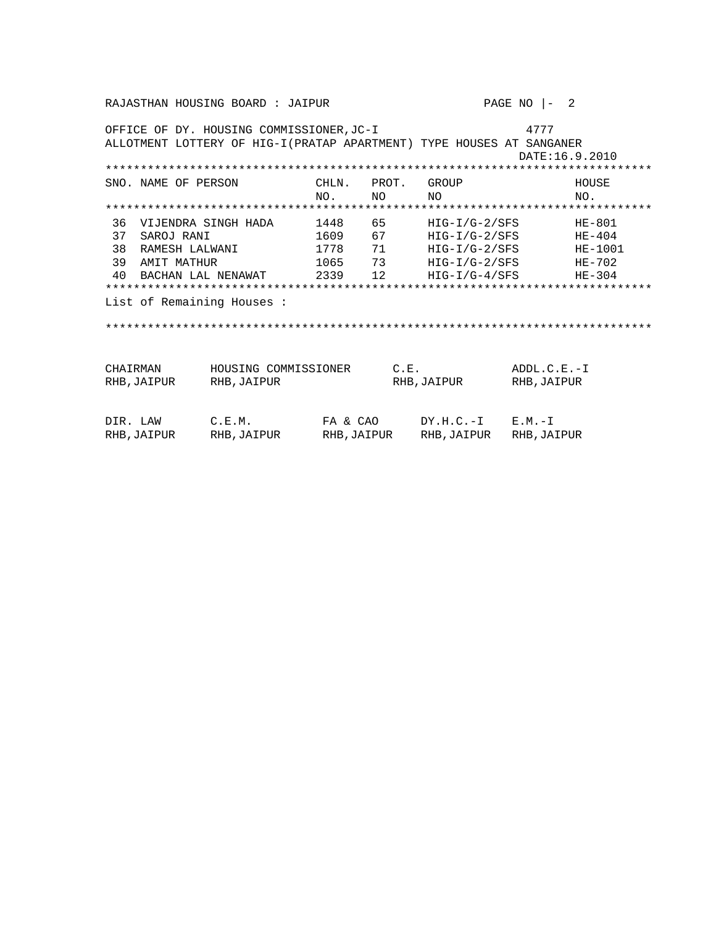RAJASTHAN HOUSING BOARD : JAIPUR PAGE NO  $|-2$ OFFICE OF DY. HOUSING COMMISSIONER, JC-I 4777 ALLOTMENT LOTTERY OF HIG-I (PRATAP APARTMENT) TYPE HOUSES AT SANGANER DATE:16.9.2010 SNO. NAME OF PERSON CHLN. PROT. GROUP HOUSE **NO** NO. **NO**  $NO<sub>1</sub>$ 36 VIJENDRA SINGH HADA 1448 65 HIG-I/G-2/SFS HE-801<br>37 SAROJ RANI 1609 67 HIG-I/G-2/SFS HE-404<br>38 RAMESH LALWANI 1778 71 HIG-I/G-2/SFS HE-404<br>39 AMIT MATHUR 1065 73 HIG-I/G-2/SFS HE-702<br>40 BACHAN LAL NENAWAT 2339 12 HIG-I/ HE-1001 List of Remaining Houses : CHAIRMAN HOUSING COMMISSIONER C.E. ADDL.C.E.-I RHB, JAIPUR RHB, JAIPUR RHB, JAIPUR RHB, JAIPUR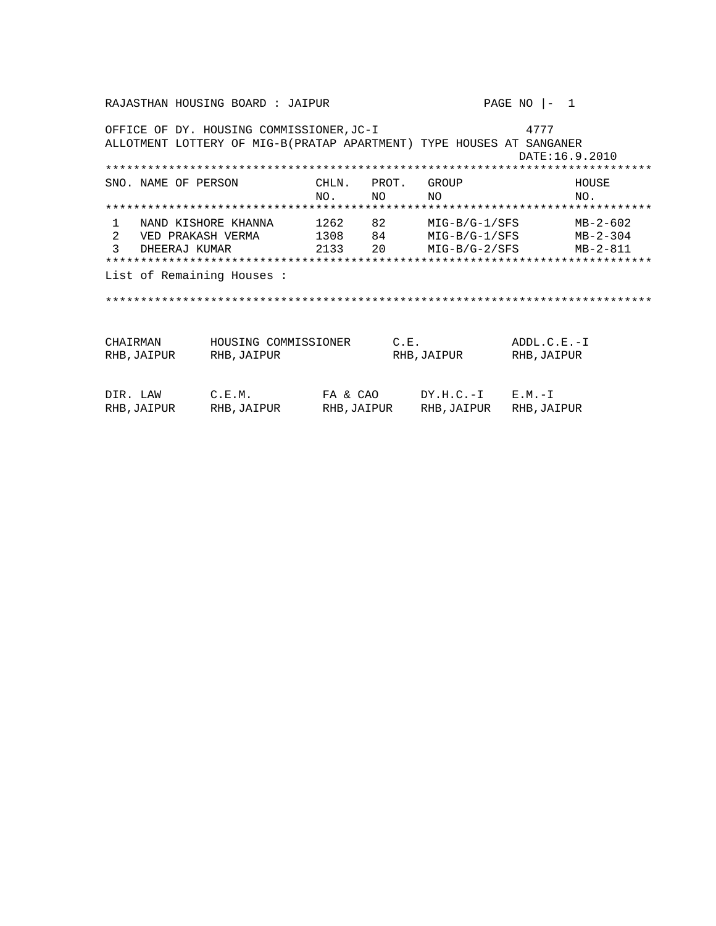RAJASTHAN HOUSING BOARD : JAIPUR PAGE NO  $|-1$ OFFICE OF DY. HOUSING COMMISSIONER, JC-I 4777 ALLOTMENT LOTTERY OF MIG-B (PRATAP APARTMENT) TYPE HOUSES AT SANGANER DATE:16.9.2010 SNO. NAME OF PERSON CHLN. PROT. GROUP HOUSE NO NO. **NO**  $NO<sub>1</sub>$ 1 NAND KISHORE KHANNA 1262 82 MIG-B/G-1/SFS MB-2-602<br>2 VED PRAKASH VERMA 1308 84 MIG-B/G-1/SFS MB-2-304<br>3 DHEERAJ KUMAR 2133 20 MIG-B/G-2/SFS MB-2-811  $MB - 2 - 602$ List of Remaining Houses : CHAIRMAN HOUSING COMMISSIONER C.E. ADDL.C.E.-I RHB, JAIPUR RHB, JAIPUR RHB, JAIPUR RHB, JAIPUR  $DY.H.C.-I$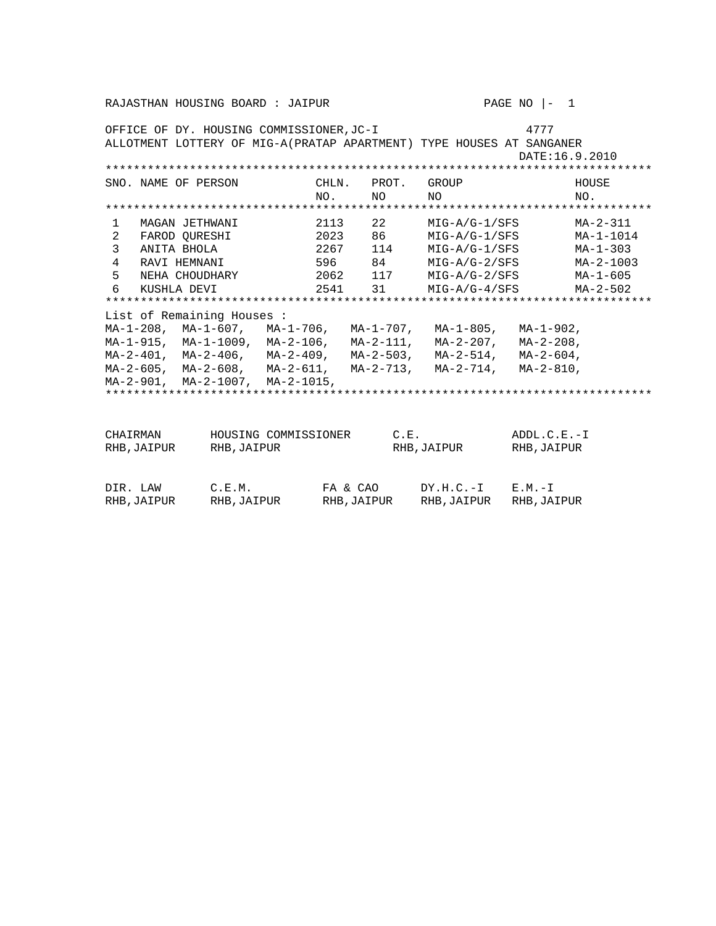|                |                     | OFFICE OF DY. HOUSING COMMISSIONER,JC-I  |                      |        |               |                                                                      | 4777            |           |  |
|----------------|---------------------|------------------------------------------|----------------------|--------|---------------|----------------------------------------------------------------------|-----------------|-----------|--|
|                |                     |                                          |                      |        |               | ALLOTMENT LOTTERY OF MIG-A(PRATAP APARTMENT) TYPE HOUSES AT SANGANER |                 |           |  |
|                |                     |                                          |                      |        |               |                                                                      | DATE: 16.9.2010 |           |  |
|                |                     |                                          |                      |        |               |                                                                      |                 |           |  |
|                | SNO. NAME OF PERSON |                                          |                      | CHLN.  | PROT.         | GROUP                                                                |                 | HOUSE     |  |
|                |                     |                                          |                      | NO.    | NO.           | NO.                                                                  |                 | NO.       |  |
|                |                     |                                          |                      |        |               |                                                                      |                 |           |  |
| 1              | MAGAN JETHWANI      |                                          |                      | 2113   | 22 and $\sim$ | MIG-A/G-1/SFS                                                        |                 | MA-2-311  |  |
| 2              | FAROD OURESHI       |                                          |                      | 2023   | 86 10         | MIG-A/G-1/SFS                                                        |                 | MA-1-1014 |  |
| 3              | ANITA BHOLA         |                                          |                      | 2267   | 114           | MIG-A/G-1/SFS                                                        |                 | MA-1-303  |  |
| $\overline{4}$ | RAVI HEMNANI        |                                          |                      | 596 84 |               | $MIG-A/G-2/SFS$                                                      |                 | MA-2-1003 |  |
| 5              |                     | NEHA CHOUDHARY                           |                      | 2062   | 117           | MIG-A/G-2/SFS                                                        |                 | MA-1-605  |  |
| 6              | KUSHLA DEVI         |                                          |                      | 2541   |               | 31 MIG-A/G-4/SFS                                                     |                 | MA-2-502  |  |
|                |                     |                                          |                      |        |               |                                                                      |                 |           |  |
|                |                     | List of Remaining Houses :               |                      |        |               |                                                                      |                 |           |  |
|                |                     | MA-1-208, MA-1-607, MA-1-706, MA-1-707,  |                      |        |               | MA-1-805, MA-1-902,                                                  |                 |           |  |
|                |                     | MA-1-915, MA-1-1009, MA-2-106, MA-2-111, |                      |        |               | MA-2-207, MA-2-208,                                                  |                 |           |  |
|                |                     | MA-2-401, MA-2-406, MA-2-409, MA-2-503,  |                      |        |               | MA-2-514,                                                            | $MA-2-604$ ,    |           |  |
|                |                     | MA-2-605, MA-2-608, MA-2-611, MA-2-713,  |                      |        |               | MA-2-714, MA-2-810,                                                  |                 |           |  |
|                |                     | MA-2-901, MA-2-1007, MA-2-1015,          |                      |        |               |                                                                      |                 |           |  |
|                |                     |                                          |                      |        |               |                                                                      |                 |           |  |
|                |                     |                                          |                      |        |               |                                                                      |                 |           |  |
|                |                     |                                          |                      |        |               |                                                                      |                 |           |  |
| CHAIRMAN       |                     |                                          | HOUSING COMMISSIONER |        | C.E.          |                                                                      | $ADDL.C.E.-I$   |           |  |
|                | RHB,JAIPUR          | RHB, JAIPUR                              |                      |        |               | RHB, JAIPUR                                                          | RHB, JAIPUR     |           |  |
|                |                     |                                          |                      |        |               |                                                                      |                 |           |  |
|                |                     |                                          |                      |        |               |                                                                      |                 |           |  |

| DIR. LAW    | C.E.M.      | FA & CAO   | $DY.H.C.-I$ $E.M.-I$ |            |
|-------------|-------------|------------|----------------------|------------|
| RHB, JAIPUR | RHB, JAIPUR | RHB,JAIPUR | RHB,JAIPUR           | RHB,JAIPUR |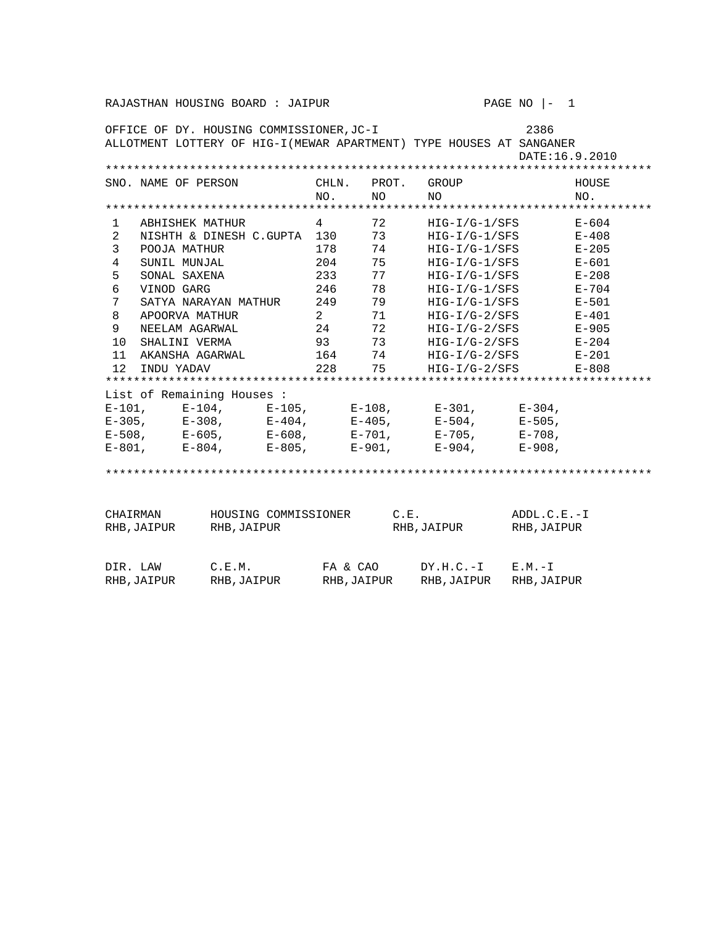| 2386<br>OFFICE OF DY. HOUSING COMMISSIONER, JC-I<br>ALLOTMENT LOTTERY OF HIG-I (MEWAR APARTMENT) TYPE HOUSES AT SANGANER<br>DATE: 16.9.2010 |                                                                                                                   |                                                     |           |                                                            |                                                    |                                                                                                                                                                 |                              |                                                                                                   |
|---------------------------------------------------------------------------------------------------------------------------------------------|-------------------------------------------------------------------------------------------------------------------|-----------------------------------------------------|-----------|------------------------------------------------------------|----------------------------------------------------|-----------------------------------------------------------------------------------------------------------------------------------------------------------------|------------------------------|---------------------------------------------------------------------------------------------------|
|                                                                                                                                             | SNO. NAME OF PERSON                                                                                               |                                                     |           | CHLN.<br>NO.                                               | PROT.<br>NO.                                       | GROUP<br>NΟ                                                                                                                                                     |                              | HOUSE<br>NO.                                                                                      |
|                                                                                                                                             |                                                                                                                   |                                                     |           |                                                            |                                                    |                                                                                                                                                                 |                              |                                                                                                   |
| 1<br>2<br>3<br>4<br>5<br>$\epsilon$<br>7<br>8<br>9                                                                                          | ABHISHEK MATHUR<br>POOJA MATHUR<br>SUNIL MUNJAL<br>SONAL SAXENA<br>VINOD GARG<br>APOORVA MATHUR<br>NEELAM AGARWAL | NISHTH & DINESH C.GUPTA 130<br>SATYA NARAYAN MATHUR |           | 4<br>178<br>204<br>233<br>246<br>249<br>$\mathbf{2}$<br>24 | 72<br>73<br>74<br>75<br>77<br>78<br>79<br>71<br>72 | HIG-I/G-1/SFS<br>HIG-I/G-1/SFS<br>$HIG-I/G-1/SFS$<br>$HIG-I/G-1/SFS$<br>$HIG-I/G-1/SFS$<br>$HIG-I/G-1/SFS$<br>HIG-I/G-1/SFS<br>HIG-I/G-2/SFS<br>$HIG-I/G-2/SFS$ |                              | $E - 604$<br>E-408<br>$E - 205$<br>$E - 601$<br>$E - 208$<br>$E - 704$<br>E-501<br>E-401<br>E-905 |
| 10                                                                                                                                          | SHALINI VERMA                                                                                                     |                                                     |           | 93                                                         | 73                                                 | HIG-I/G-2/SFS                                                                                                                                                   |                              | $E - 204$                                                                                         |
| 11<br>12                                                                                                                                    |                                                                                                                   | AKANSHA AGARWAL                                     |           | 164<br>228                                                 | 74<br>75                                           | HIG-I/G-2/SFS                                                                                                                                                   |                              | E-201                                                                                             |
|                                                                                                                                             | INDU YADAV                                                                                                        |                                                     |           |                                                            |                                                    | $HIG-I/G-2/SFS$                                                                                                                                                 |                              | $E - 808$                                                                                         |
|                                                                                                                                             |                                                                                                                   | List of Remaining Houses:                           |           |                                                            |                                                    |                                                                                                                                                                 |                              |                                                                                                   |
| $E-101$ ,                                                                                                                                   |                                                                                                                   | $E-104$ , $E-105$ , $E-108$ ,                       |           |                                                            |                                                    | E-301,                                                                                                                                                          | $E - 304$ ,                  |                                                                                                   |
| $E-305$ ,                                                                                                                                   |                                                                                                                   | E-308,                                              | $E-404$ , |                                                            | $E - 405$ ,                                        | E-504,                                                                                                                                                          | $E - 505$ ,                  |                                                                                                   |
|                                                                                                                                             | $E-508$ , $E-605$ ,                                                                                               |                                                     | E-608,    |                                                            | E-701,                                             | E-705,                                                                                                                                                          | $E - 708$ ,                  |                                                                                                   |
|                                                                                                                                             | $E-801$ , $E-804$ ,                                                                                               |                                                     | E-805,    | $E-901$ ,                                                  |                                                    | E-904,                                                                                                                                                          | $E - 908$ ,                  |                                                                                                   |
|                                                                                                                                             |                                                                                                                   |                                                     |           |                                                            |                                                    |                                                                                                                                                                 |                              |                                                                                                   |
| CHAIRMAN                                                                                                                                    | RHB, JAIPUR                                                                                                       | HOUSING COMMISSIONER<br>RHB, JAIPUR                 |           |                                                            | C.E.                                               | RHB, JAIPUR                                                                                                                                                     | $ADDL.C.E.-I$<br>RHB, JAIPUR |                                                                                                   |
| DIR. LAW                                                                                                                                    | RHB, JAIPUR                                                                                                       | C.E.M.<br>RHB, JAIPUR                               |           | FA & CAO<br>RHB, JAIPUR                                    |                                                    | $DY.H.C.-I$<br>RHB, JAIPUR                                                                                                                                      | $E.M.-I$<br>RHB, JAIPUR      |                                                                                                   |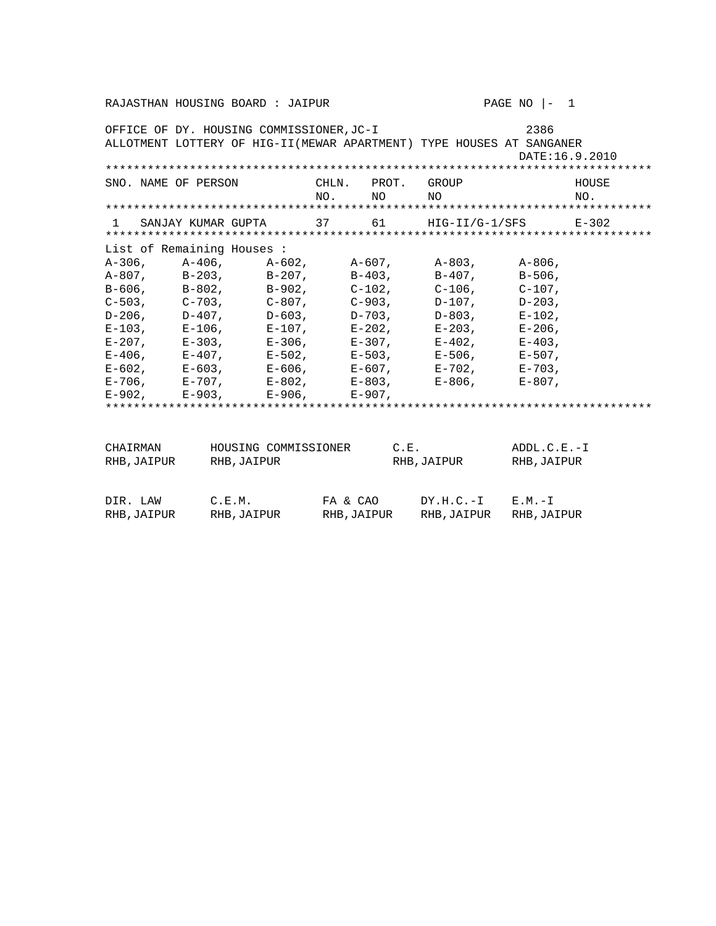OFFICE OF DY. HOUSING COMMISSIONER,JC-I 2386 ALLOTMENT LOTTERY OF HIG-II(MEWAR APARTMENT) TYPE HOUSES AT SANGANER DATE:16.9.2010 \*\*\*\*\*\*\*\*\*\*\*\*\*\*\*\*\*\*\*\*\*\*\*\*\*\*\*\*\*\*\*\*\*\*\*\*\*\*\*\*\*\*\*\*\*\*\*\*\*\*\*\*\*\*\*\*\*\*\*\*\*\*\*\*\*\*\*\*\*\*\*\*\*\*\*\*\*\* SNO. NAME OF PERSON CHLN. PROT. GROUP HOUSE HOUSE NO. NO NO NO. \*\*\*\*\*\*\*\*\*\*\*\*\*\*\*\*\*\*\*\*\*\*\*\*\*\*\*\*\*\*\*\*\*\*\*\*\*\*\*\*\*\*\*\*\*\*\*\*\*\*\*\*\*\*\*\*\*\*\*\*\*\*\*\*\*\*\*\*\*\*\*\*\*\*\*\*\*\* 1 SANJAY KUMAR GUPTA 37 61 HIG-II/G-1/SFS E-302 \*\*\*\*\*\*\*\*\*\*\*\*\*\*\*\*\*\*\*\*\*\*\*\*\*\*\*\*\*\*\*\*\*\*\*\*\*\*\*\*\*\*\*\*\*\*\*\*\*\*\*\*\*\*\*\*\*\*\*\*\*\*\*\*\*\*\*\*\*\*\*\*\*\*\*\*\*\* List of Remaining Houses : A-306, A-406, A-602, A-607, A-803, A-806, A-807, B-203, B-207, B-506, A-807, B-203, B-207, B-403, B-407, B-506, B-606, B-802, B-902, C-102, C-106, C-107, C-503, C-703, C-807, C-903, D-107, D-203, D-206, D-407, D-603, D-703, D-803, E-102,  $E-103$ ,  $E-106$ ,  $E-107$ ,  $E-202$ ,  $E-203$ ,  $E-206$ , E-207, E-303, E-306, E-307, E-402, E-403, E-406, E-407, E-502, E-503, E-506, E-507, E-602, E-603, E-606, E-607, E-702, E-703, E-706, E-707, E-802, E-803, E-806, E-807, E-902, E-903, E-906, E-907, \*\*\*\*\*\*\*\*\*\*\*\*\*\*\*\*\*\*\*\*\*\*\*\*\*\*\*\*\*\*\*\*\*\*\*\*\*\*\*\*\*\*\*\*\*\*\*\*\*\*\*\*\*\*\*\*\*\*\*\*\*\*\*\*\*\*\*\*\*\*\*\*\*\*\*\*\*\* CHAIRMAN HOUSING COMMISSIONER C.E. ADDL.C.E.-I RHB,JAIPUR RHB,JAIPUR RHB,JAIPUR RHB,JAIPUR RHB,JAIPUR DIR. LAW C.E.M. FA & CAO DY.H.C.-I E.M.-I RHB,JAIPUR RHB,JAIPUR RHB,JAIPUR RHB,JAIPUR RHB,JAIPUR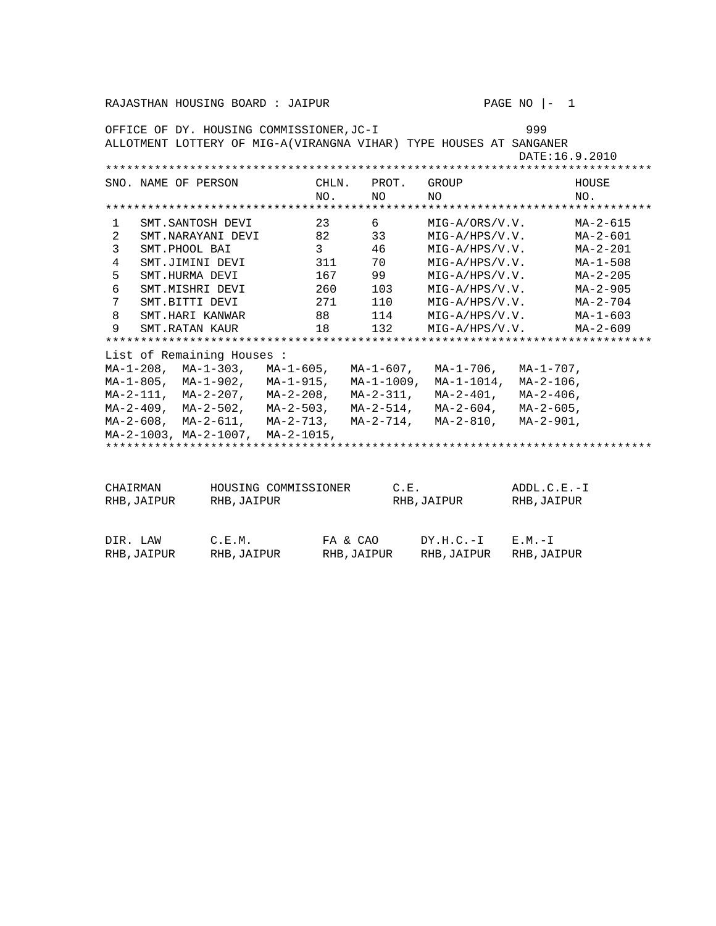| PAGE NO<br>RAJASTHAN HOUSING BOARD : JAIPUR<br>$\overline{1}$ |                                                                    |                      |                           |       |  |                            |                |  |                  |                |
|---------------------------------------------------------------|--------------------------------------------------------------------|----------------------|---------------------------|-------|--|----------------------------|----------------|--|------------------|----------------|
| 999<br>OFFICE OF DY. HOUSING COMMISSIONER, JC-I               |                                                                    |                      |                           |       |  |                            |                |  |                  |                |
|                                                               | ALLOTMENT LOTTERY OF MIG-A(VIRANGNA VIHAR) TYPE HOUSES AT SANGANER |                      |                           |       |  |                            |                |  |                  |                |
|                                                               | DATE: 16.9.2010                                                    |                      |                           |       |  |                            |                |  |                  |                |
|                                                               | SNO. NAME OF PERSON                                                |                      |                           | CHLN. |  | PROT.                      | GROUP          |  |                  | HOUSE          |
|                                                               |                                                                    |                      |                           | NO.   |  | NΟ                         | NΟ             |  |                  | NO.            |
|                                                               |                                                                    |                      |                           |       |  |                            |                |  |                  |                |
| 1                                                             | SMT.SANTOSH DEVI                                                   |                      |                           | 23    |  | 6                          | MIG-A/ORS/V.V. |  |                  | $MA - 2 - 615$ |
| 2                                                             | SMT.NARAYANI DEVI                                                  |                      |                           | 82    |  | 33                         | MIG-A/HPS/V.V. |  |                  | MA-2-601       |
| 3                                                             | SMT.PHOOL BAI                                                      |                      |                           | 3     |  | 46                         | MIG-A/HPS/V.V. |  |                  | MA-2-201       |
| 4                                                             | SMT.JIMINI DEVI                                                    |                      |                           | 311   |  | 70                         |                |  | $MIG-A/HPS/V.V.$ | MA-1-508       |
| 5                                                             | SMT.HURMA DEVI                                                     |                      |                           | 167   |  | 99                         |                |  | MIG-A/HPS/V.V.   | $MA - 2 - 205$ |
| 6                                                             | SMT.MISHRI DEVI                                                    |                      |                           | 260   |  | 103                        | MIG-A/HPS/V.V. |  |                  | $MA - 2 - 905$ |
| 7                                                             | SMT.BITTI DEVI                                                     |                      |                           | 271   |  | 110                        | MIG-A/HPS/V.V. |  |                  | MA-2-704       |
| 8                                                             | SMT.HARI KANWAR                                                    |                      |                           | 88    |  | 114                        | MIG-A/HPS/V.V. |  |                  | MA-1-603       |
| 9                                                             | SMT.RATAN KAUR                                                     |                      |                           | 18    |  | 132                        | MIG-A/HPS/V.V. |  |                  | $MA - 2 - 609$ |
|                                                               | List of Remaining Houses:                                          |                      |                           |       |  |                            |                |  |                  |                |
|                                                               | $MA-1-208$ , $MA-1-303$ , $MA-1-605$ , $MA-1-607$ ,                |                      |                           |       |  |                            | MA-1-706,      |  | $MA-1-707$ ,     |                |
|                                                               | MA-1-805, MA-1-902,                                                |                      |                           |       |  | $MA-1-915$ , $MA-1-1009$ , | MA-1-1014,     |  | $MA - 2 - 106$ , |                |
|                                                               | $MA-2-111$ , $MA-2-207$ ,                                          |                      |                           |       |  | MA-2-208, MA-2-311,        | MA-2-401,      |  | $MA - 2 - 406$ , |                |
|                                                               | $MA-2-409$ , $MA-2-502$ , $MA-2-503$ , $MA-2-514$ ,                |                      |                           |       |  |                            | MA-2-604,      |  | $MA - 2 - 605$ , |                |
|                                                               | MA-2-608, MA-2-611,                                                |                      | $MA-2-713$ , $MA-2-714$ , |       |  |                            | MA-2-810,      |  | $MA - 2 - 901$ , |                |
|                                                               | $MA-2-1003$ , $MA-2-1007$ ,                                        |                      | $MA-2-1015$ ,             |       |  |                            |                |  |                  |                |
|                                                               |                                                                    |                      |                           |       |  |                            |                |  |                  |                |
|                                                               |                                                                    |                      |                           |       |  |                            |                |  |                  |                |
| CHAIRMAN                                                      |                                                                    | HOUSING COMMISSIONER |                           |       |  | C.E.                       |                |  | $ADDL.C.E.-I$    |                |
| RHB, JAIPUR                                                   |                                                                    | RHB, JAIPUR          |                           |       |  |                            | RHB, JAIPUR    |  | RHB, JAIPUR      |                |
|                                                               |                                                                    |                      |                           |       |  |                            |                |  |                  |                |
|                                                               |                                                                    |                      |                           |       |  |                            |                |  |                  |                |

| DIR. LAW   | C.E.M.      | FA & CAO    | $DY.H.C.-I$ $E.M.-I$ |            |
|------------|-------------|-------------|----------------------|------------|
| RHB,JAIPUR | RHB, JAIPUR | RHB, JAIPUR | RHB,JAIPUR           | RHB,JAIPUR |